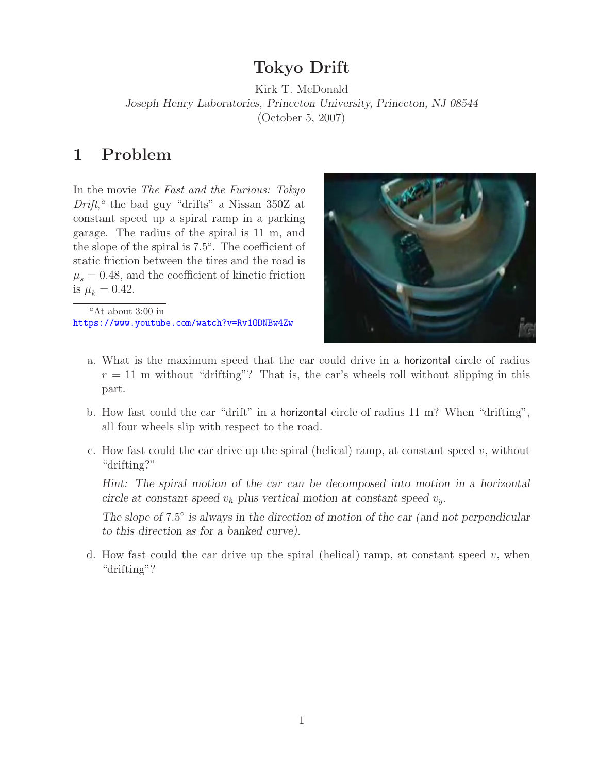## **Tokyo Drift**

Kirk T. McDonald *Joseph Henry Laboratories, Princeton University, Princeton, NJ 08544* (October 5, 2007)

## **1 Problem**

In the movie *The Fast and the Furious: Tokyo Drift*, *<sup>a</sup>* the bad guy "drifts" a Nissan 350Z at constant speed up a spiral ramp in a parking garage. The radius of the spiral is 11 m, and the slope of the spiral is 7*.*5◦. The coefficient of static friction between the tires and the road is  $\mu_s = 0.48$ , and the coefficient of kinetic friction is  $\mu_k = 0.42$ .

*<sup>a</sup>*At about 3:00 in https://www.youtube.com/watch?v=Rv1ODNBw4Zw



- a. What is the maximum speed that the car could drive in a horizontal circle of radius  $r = 11$  m without "drifting"? That is, the car's wheels roll without slipping in this part.
- b. How fast could the car "drift" in a horizontal circle of radius 11 m? When "drifting", all four wheels slip with respect to the road.
- c. How fast could the car drive up the spiral (helical) ramp, at constant speed  $v$ , without "drifting?"

*Hint: The spiral motion of the car can be decomposed into motion in a horizontal circle at constant speed*  $v_h$  *plus vertical motion at constant speed*  $v_y$ *.* 

*The slope of* <sup>7</sup>*.*5◦ *is always in the direction of motion of the car (and not perpendicular to this direction as for a banked curve).*

d. How fast could the car drive up the spiral (helical) ramp, at constant speed  $v$ , when "drifting"?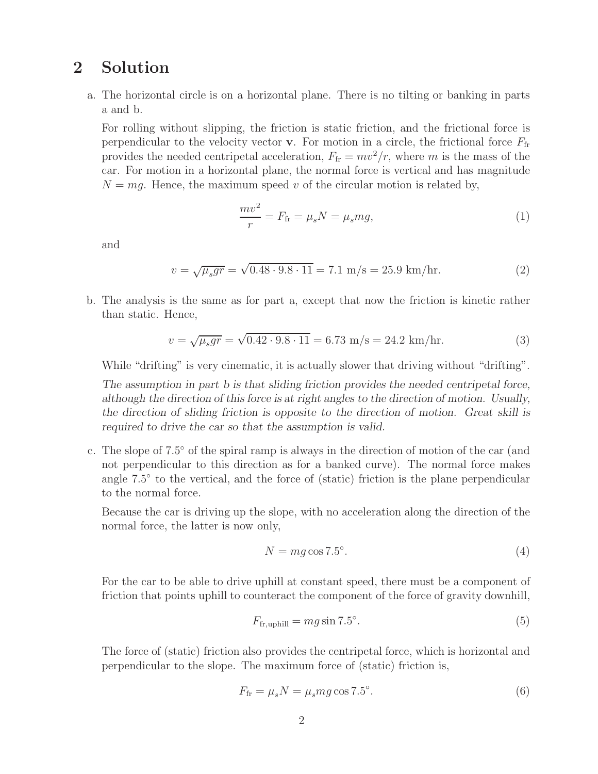## **2 Solution**

a. The horizontal circle is on a horizontal plane. There is no tilting or banking in parts a and b.

For rolling without slipping, the friction is static friction, and the frictional force is perpendicular to the velocity vector **v**. For motion in a circle, the frictional force  $F_{fr}$ provides the needed centripetal acceleration,  $F_{\text{fr}} = mv^2/r$ , where *m* is the mass of the car. For motion in a horizontal plane, the normal force is vertical and has magnitude  $N = mg$ . Hence, the maximum speed *v* of the circular motion is related by,

$$
\frac{mv^2}{r} = F_{\text{fr}} = \mu_s N = \mu_s mg,\tag{1}
$$

and

$$
v = \sqrt{\mu_s gr} = \sqrt{0.48 \cdot 9.8 \cdot 11} = 7.1 \text{ m/s} = 25.9 \text{ km/hr.}
$$
 (2)

b. The analysis is the same as for part a, except that now the friction is kinetic rather than static. Hence,

$$
v = \sqrt{\mu_s gr} = \sqrt{0.42 \cdot 9.8 \cdot 11} = 6.73 \text{ m/s} = 24.2 \text{ km/hr.}
$$
 (3)

While "drifting" is very cinematic, it is actually slower that driving without "drifting".

*The assumption in part b is that sliding friction provides the needed centripetal force, although the direction of this force is at right angles to the direction of motion. Usually, the direction of sliding friction is opposite to the direction of motion. Great skill is required to drive the car so that the assumption is valid.*

c. The slope of 7*.*5◦ of the spiral ramp is always in the direction of motion of the car (and not perpendicular to this direction as for a banked curve). The normal force makes angle 7*.*5◦ to the vertical, and the force of (static) friction is the plane perpendicular to the normal force.

Because the car is driving up the slope, with no acceleration along the direction of the normal force, the latter is now only,

$$
N = mg\cos 7.5^{\circ}.\tag{4}
$$

For the car to be able to drive uphill at constant speed, there must be a component of friction that points uphill to counteract the component of the force of gravity downhill,

$$
F_{\text{fr,uphill}} = mg \sin 7.5^{\circ}.\tag{5}
$$

The force of (static) friction also provides the centripetal force, which is horizontal and perpendicular to the slope. The maximum force of (static) friction is,

$$
F_{\text{fr}} = \mu_s N = \mu_s mg \cos 7.5^\circ. \tag{6}
$$